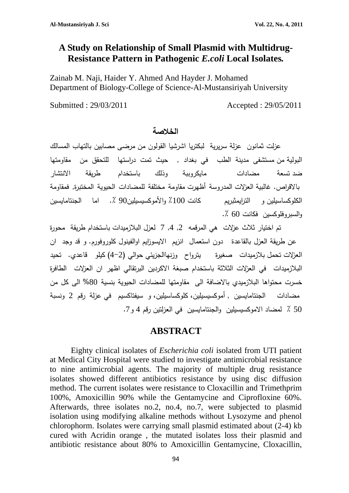# **A Study on Relationship of Small Plasmid with Multidrug-Resistance Pattern in Pathogenic** *E.coli* **Local Isolates***.*

Zainab M. Naji, Haider Y. Ahmed And Hayder J. Mohamed Department of Biology-College of Science-Al-Mustansiriyah University

Submitted : 29/03/2011 Accepted : 29/05/2011

#### **الخلاصة**

عزلت ثمانون عزلة سريرية لبكتريا اشرشيا القولون من مرضى مصابين بالتهاب المسالك البولية من مستشفى مدينة الطب في بغداد , حيث تمت دراستها للتحقق من مقاومتها ضد تسعة مضادات مايكروببة وذلك باستخدام طريقة الانتشار بالا ا قرص. غالبية العزلات المدروسة أظهرت مقاومة مختلفة للمضادات الحيوية المختبرة, فمقاومة الكلوكساسيلين و الترايمثبريم كانت ٪100 والأموكسيسيلين90 .٪ اما الجنتامايسين والسبروفلوكسين فكانت 60 .٪

تم اختيار ثلاث عزلات هي المرقمه ,2 ,4 7 لعزل البلازميدات باستخدام طريقة محورة عن طريقة العزل بالقاعدة دون استعمال انزيم الايسوزايم اوالفينول كلوروفورم. و قد وجد ان العزلات تحمل بلازميدات صغيرة يترواح وزنهاالجزيئي حوالي (4-2) كيلو قاعدي. تحيد البلازميدات في العزلات الثلاثة باستخدام صبغة الاكردين البرتقالي اظهر ان العزلات الطافرة خسرت محتواها البلازميدي بالاضافة الى مقاومتها للمضادات الحيوية بنسية %80 الى كل من مضادات الجنتامايسين , أموكسيسيلين، كلوكساسيلين، و سيفتاكسيم في عزلة رقم 2 ونسبة 50 ٪ لمضاد الاموكسيسيلين والجنتامايسين في العزلتين رقم 4 و.7

#### **ABSTRACT**

Eighty clinical isolates of *Escherichia coli* isolated from UTI patient at Medical City Hospital were studied to investigate antimicrobial resistance to nine antimicrobial agents. The majority of multiple drug resistance isolates showed different antibiotics resistance by using disc diffusion method. The current isolates were resistance to Cloxacillin and Trimethprim 100%, Amoxicillin 90% while the Gentamycine and Ciprofloxine 60%. Afterwards, three isolates no.2, no.4, no.7, were subjected to plasmid isolation using modifying alkaline methods without Lysozyme and phenol chlorophorm. Isolates were carrying small plasmid estimated about (2-4) kb cured with Acridin orange , the mutated isolates loss their plasmid and antibiotic resistance about 80% to Amoxicillin Gentamycine, Cloxacillin,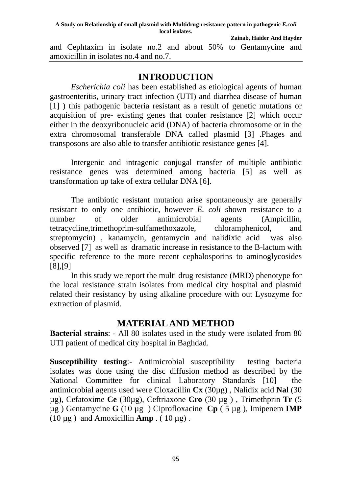and Cephtaxim in isolate no.2 and about 50% to Gentamycine and amoxicillin in isolates no.4 and no.7.

### **INTRODUCTION**

*Escherichia coli* has been established as etiological agents of human gastroenteritis, urinary tract infection (UTI) and diarrhea disease of human [1] ) this pathogenic bacteria resistant as a result of genetic mutations or acquisition of pre- existing genes that confer resistance [2] which occur either in the deoxyribonucleic acid (DNA) of bacteria chromosome or in the extra chromosomal transferable DNA called plasmid [3] .Phages and transposons are also able to transfer antibiotic resistance genes [4].

Intergenic and intragenic conjugal transfer of multiple antibiotic resistance genes was determined among bacteria [5] as well as transformation up take of extra cellular DNA [6].

The antibiotic resistant mutation arise spontaneously are generally resistant to only one antibiotic, however *E. coli* shown resistance to a number of older antimicrobial agents (Ampicillin, tetracycline,trimethoprim-sulfamethoxazole, chloramphenicol, and streptomycin) , kanamycin, gentamycin and nalidixic acid was also observed [7] as well as dramatic increase in resistance to the B-lactum with specific reference to the more recent cephalosporins to aminoglycosides [8],[9]

In this study we report the multi drug resistance (MRD) phenotype for the local resistance strain isolates from medical city hospital and plasmid related their resistancy by using alkaline procedure with out Lysozyme for extraction of plasmid.

## **MATERIAL AND METHOD**

**Bacterial strains**: - All 80 isolates used in the study were isolated from 80 UTI patient of medical city hospital in Baghdad.

**Susceptibility testing:** Antimicrobial susceptibility testing bacteria isolates was done using the disc diffusion method as described by the National Committee for clinical Laboratory Standards [10] the antimicrobial agents used were Cloxacillin **Cx** (30µg) , Nalidix acid **Nal** (30 µg), Cefatoxime **Ce** (30µg), Ceftriaxone **Cro** (30 µg ) , Trimethprin **Tr** (5 µg ) Gentamycine **G** (10 µg ) Ciprofloxacine **Cp** ( 5 µg ), Imipenem **IMP** ( $10 \mu$ g) and Amoxicillin **Amp** . ( $10 \mu$ g).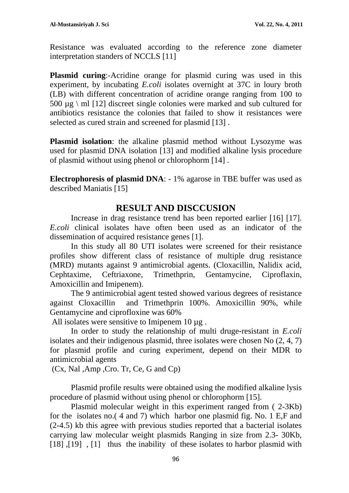Resistance was evaluated according to the reference zone diameter interpretation standers of NCCLS [11]

**Plasmid curing**:-Acridine orange for plasmid curing was used in this experiment, by incubating *E.coli* isolates overnight at 37C in loury broth (LB) with different concentration of acridine orange ranging from 100 to 500  $\mu$ g \ ml [12] discreet single colonies were marked and sub cultured for antibiotics resistance the colonies that failed to show it resistances were selected as cured strain and screened for plasmid [13] .

**Plasmid isolation**: the alkaline plasmid method without Lysozyme was used for plasmid DNA isolation [13] and modified alkaline lysis procedure of plasmid without using phenol or chlorophorm [14] .

**Electrophoresis of plasmid DNA**: - 1% agarose in TBE buffer was used as described Maniatis [15]

# **RESULT AND DISCCUSION**

Increase in drag resistance trend has been reported earlier [16] [17]. *E.coli* clinical isolates have often been used as an indicator of the dissemination of acquired resistance genes [1].

In this study all 80 UTI isolates were screened for their resistance profiles show different class of resistance of multiple drug resistance (MRD) mutants against 9 antimicrobial agents. (Cloxacillin, Nalidix acid, Cephtaxime, Ceftriaxone, Trimethprin, Gentamycine, Ciproflaxin, Amoxicillin and Imipenem).

The 9 antimicrobial agent tested showed various degrees of resistance against Cloxacillin and Trimethprin 100%. Amoxicillin 90%, while Gentamycine and ciprofloxine was 60%

All isolates were sensitive to Imipenem 10  $\mu$ g.

In order to study the relationship of multi druge-resistant in *E.coli* isolates and their indigenous plasmid, three isolates were chosen No (2, 4, 7) for plasmid profile and curing experiment, depend on their MDR to antimicrobial agents

(Cx, Nal ,Amp ,Cro. Tr, Ce, G and Cp)

Plasmid profile results were obtained using the modified alkaline lysis procedure of plasmid without using phenol or chlorophorm [15].

Plasmid molecular weight in this experiment ranged from ( 2-3Kb) for the isolates no.( 4 and 7) which harbor one plasmid fig. No. 1 E,F and (2-4.5) kb this agree with previous studies reported that a bacterial isolates carrying law molecular weight plasmids Ranging in size from 2.3- 30Kb, [18], [19], [1] thus the inability of these isolates to harbor plasmid with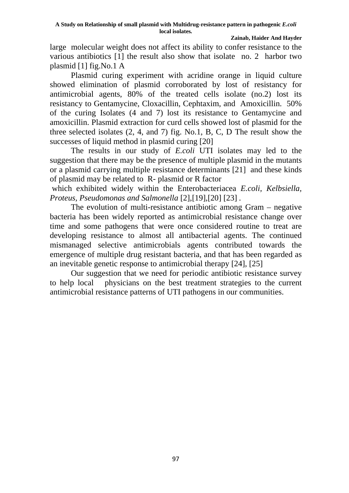large molecular weight does not affect its ability to confer resistance to the various antibiotics [1] the result also show that isolate no. 2 harbor two plasmid [1] fig.No.1 A

Plasmid curing experiment with acridine orange in liquid culture showed elimination of plasmid corroborated by lost of resistancy for antimicrobial agents, 80% of the treated cells isolate (no.2) lost its resistancy to Gentamycine, Cloxacillin, Cephtaxim, and Amoxicillin. 50% of the curing Isolates (4 and 7) lost its resistance to Gentamycine and amoxicillin. Plasmid extraction for curd cells showed lost of plasmid for the three selected isolates (2, 4, and 7) fig. No.1, B, C, D The result show the successes of liquid method in plasmid curing [20]

The results in our study of *E.coli* UTI isolates may led to the suggestion that there may be the presence of multiple plasmid in the mutants or a plasmid carrying multiple resistance determinants [21] and these kinds of plasmid may be related to R- plasmid or R factor

 which exhibited widely within the Enterobacteriacea *E.coli, Kelbsiella, Proteus, Pseudomonas and Salmonella* [2],[19],[20] [23] *.* 

The evolution of multi-resistance antibiotic among Gram – negative bacteria has been widely reported as antimicrobial resistance change over time and some pathogens that were once considered routine to treat are developing resistance to almost all antibacterial agents. The continued mismanaged selective antimicrobials agents contributed towards the emergence of multiple drug resistant bacteria, and that has been regarded as an inevitable genetic response to antimicrobial therapy [24], [25]

Our suggestion that we need for periodic antibiotic resistance survey to help local physicians on the best treatment strategies to the current antimicrobial resistance patterns of UTI pathogens in our communities.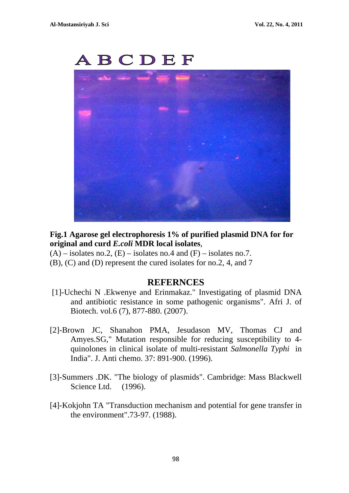

**Fig.1 Agarose gel electrophoresis 1% of purified plasmid DNA for for original and curd** *E.coli* **MDR local isolates**,

- $(A)$  isolates no.2,  $(E)$  isolates no.4 and  $(F)$  isolates no.7.
- (B), (C) and (D) represent the cured isolates for no.2, 4, and 7

#### **REFERNCES**

- [1]-Uchechi N .Ekwenye and Erinmakaz." Investigating of plasmid DNA and antibiotic resistance in some pathogenic organisms". Afri J. of Biotech. vol.6 (7), 877-880. (2007).
- [2]-Brown JC, Shanahon PMA, Jesudason MV, Thomas CJ and Amyes.SG," Mutation responsible for reducing susceptibility to 4 quinolones in clinical isolate of multi-resistant *Salmonella Typhi* in India". J. Anti chemo. 37: 891-900. (1996).
- [3]-Summers .DK. "The biology of plasmids". Cambridge: Mass Blackwell Science Ltd. (1996).
- [4]-Kokjohn TA "Transduction mechanism and potential for gene transfer in the environment".73-97. (1988).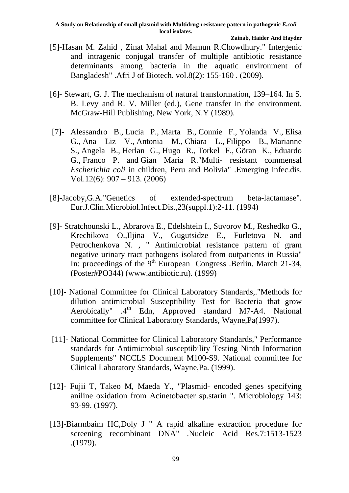- [5]-Hasan M. Zahid , Zinat Mahal and Mamun R.Chowdhury." Intergenic and intragenic conjugal transfer of multiple antibiotic resistance determinants among bacteria in the aquatic environment of Bangladesh" .Afri J of Biotech. vol.8(2): 155-160 . (2009).
- [6]- Stewart, G. J. The mechanism of natural transformation, 139–164. In S. B. Levy and R. V. Miller (ed.), Gene transfer in the environment. McGraw-Hill Publishing, New York, N.Y (1989).
- [7]- Alessandro B., Lucia P., Marta B., Connie F., Yolanda V., Elisa G., Ana Liz V., Antonia M., Chiara L., Filippo B., Marianne S., Angela B., Herlan G., Hugo R., Torkel F., Göran K., Eduardo G., Franco P. and Gian Maria R."Multi- resistant commensal *Escherichia coli* in children, Peru and Bolivia" .Emerging infec.dis. Vol.12(6): 907 – 913. (2006)
- [8]-Jacoby,G.A."Genetics of extended-spectrum beta-lactamase". Eur.J.Clin.Microbiol.Infect.Dis.,23(suppl.1):2-11. (1994)
- [9]- Stratchounski L., Abrarova E., Edelshtein I., Suvorov M., Reshedko G., Krechikova O.,Iljina V., Gugutsidze E., Furletova N. and Petrochenkova N. , " Antimicrobial resistance pattern of gram negative urinary tract pathogens isolated from outpatients in Russia" In: proceedings of the 9<sup>th</sup> European Congress .Berlin. March 21-34, (Poster#PO344) (www.antibiotic.ru). (1999)
- [10]- National Committee for Clinical Laboratory Standards,."Methods for dilution antimicrobial Susceptibility Test for Bacteria that grow Aerobically" .4<sup>th</sup> Edn, Approved standard M7-A4. National committee for Clinical Laboratory Standards, Wayne,Pa(1997).
- [11]- National Committee for Clinical Laboratory Standards," Performance standards for Antimicrobial susceptibility Testing Ninth Information Supplements" NCCLS Document M100-S9. National committee for Clinical Laboratory Standards, Wayne,Pa. (1999).
- [12]- Fujii T, Takeo M, Maeda Y., "Plasmid- encoded genes specifying aniline oxidation from Acinetobacter sp.starin ". Microbiology 143: 93-99. (1997).
- [13]-Biarmbaim HC,Doly J " A rapid alkaline extraction procedure for screening recombinant DNA" .Nucleic Acid Res.7:1513-1523 .(1979).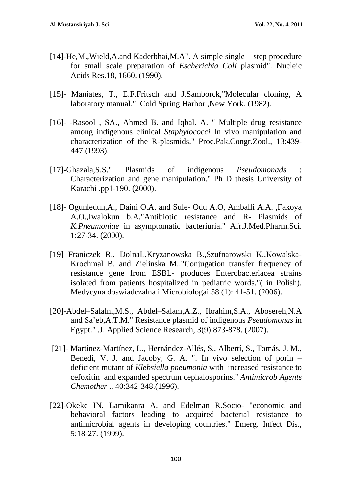- [14]-He,M.,Wield,A.and Kaderbhai,M.A". A simple single step procedure for small scale preparation of *Escherichia Coli* plasmid". Nucleic Acids Res.18, 1660. (1990).
- [15]- Maniates, T., E.F.Fritsch and J.Samborck,"Molecular cloning, A laboratory manual.", Cold Spring Harbor ,New York. (1982).
- [16]- -Rasool , SA., Ahmed B. and Iqbal. A. " Multiple drug resistance among indigenous clinical *Staphylococci* In vivo manipulation and characterization of the R-plasmids." Proc.Pak.Congr.Zool., 13:439- 447.(1993).
- [17]-Ghazala,S.S." Plasmids of indigenous *Pseudomonads* : Characterization and gene manipulation." Ph D thesis University of Karachi .pp1-190. (2000).
- [18]- Ogunledun,A., Daini O.A. and Sule- Odu A.O, Amballi A.A. ,Fakoya A.O.,Iwalokun b.A."Antibiotic resistance and R- Plasmids of *K.Pneumoniae* in asymptomatic bacteriuria." Afr.J.Med.Pharm.Sci. 1:27-34. (2000).
- [19] Franiczek R., DolnaL,Kryzanowska B.,Szufnarowski K.,Kowalska-Krochmal B. and Zielinska M.."Conjugation transfer frequency of resistance gene from ESBL- produces Enterobacteriacea strains isolated from patients hospitalized in pediatric words."( in Polish). Medycyna doswiadczalna i Microbiologai.58 (1): 41-51. (2006).
- [20]-Abdel–Salalm,M.S., Abdel–Salam,A.Z., Ibrahim,S.A., Abosereh,N.A and Sa'eb,A.T.M." Resistance plasmid of indigenous *Pseudomonas* in Egypt." .J. Applied Science Research, 3(9):873-878. (2007).
- [21]- Martínez-Martínez, L., Hernández-Allés, S., Albertí, S., Tomás, J. M., Benedí, V. J. and Jacoby, G. A. ". In vivo selection of porin – deficient mutant of *Klebsiella pneumonia* with increased resistance to cefoxitin and expanded spectrum cephalosporins." *Antimicrob Agents Chemother* ., 40:342-348.(1996).
- [22]-Okeke IN, Lamikanra A. and Edelman R.Socio- "economic and behavioral factors leading to acquired bacterial resistance to antimicrobial agents in developing countries." Emerg. Infect Dis., 5:18-27. (1999).